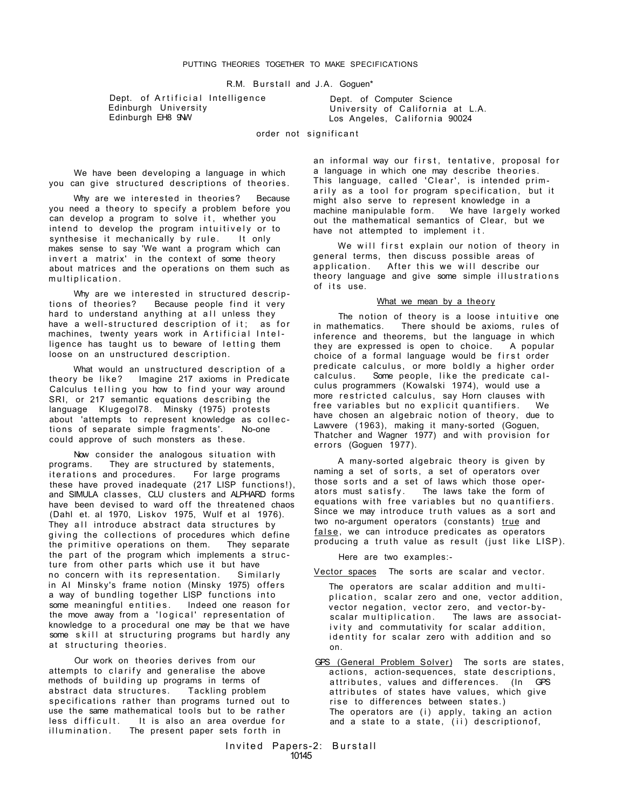R.M. Burstall and J.A. Goguen\*

Dept. of Artificial Intelligence Edinburgh University Edinburgh EH8 9NW

Dept. of Computer Science University of California at L.A. Los Angeles, California 90024

order not significant

We have been developing a language in which you can give structured descriptions of theories.

Why are we interested in theories? Because you need a theory to specify a problem before you can develop a program to solve it. whether you intend to develop the program intuitively or to<br>synthesise it mechanically by rule. It only synthesise it mechanically by rule. makes sense to say 'We want a program which can invert a matrix' in the context of some theory about matrices and the operations on them such as multiplication .

Why are we interested in structured descriptions of theories? Because people find it very hard to understand anything at all unless they have a well-structured description of it; as for machines, twenty years work in Artificial Intelligence has taught us to beware of letting them loose on an unstructured description.

What would an unstructured description of a theory be like? Imagine 217 axioms in Predicate Calculus telling you how to find your way around SRI, or 217 semantic equations describing the language Klugegol78. Minsky (1975) protests about 'attempts to represent knowledge as collec tion s of separate simple fragments'. No-one could approve of such monsters as these.

Now consider the analogous situation with programs. They are structured by statements, iterations and procedures. For large programs these have proved inadequate (217 LISP functions!), and SIMULA classes, CLU clusters and ALPHARD forms have been devised to ward off the threatened chaos (Dahl et. al 1970, Liskov 1975, Wulf et al 1976). They all introduce abstract data structures by giving the collections of procedures which define the primitive operations on them. They separate the part of the program which implements a struc ture from other parts which use it but have<br>no concern with its representation. Similarly no concern with its representation. in Al Minsky's frame notion (Minsky 1975) offers a way of bundling together LISP functions into some meaningful entities. Indeed one reason for the move away from a 'logical' representation of knowledge to a procedural one may be that we have some skill at structuring programs but hardly any at structuring theories.

Our work on theories derives from our attempts to clarify and generalise the above methods of building up programs in terms of abstract data structures. Tackling problem specifications rather than programs turned out to use the same mathematical tools but to be rather less difficult. It is also an area overdue for illumination. The present paper sets forth in

an informal way our first, tentative, proposal for a language in which one may describe theories. This language, called 'Clear', is intended primarily as a tool for program specification, but it might also serve to represent knowledge in a<br>machine manipulable form. We have largely worked  $machine$  manipulable form. out the mathematical semantics of Clear, but we have not attempted to implement it .

We will first explain our notion of theory in general terms, then discuss possible areas of application. After this we will describe our theory language and give some simple illustration s of its use.

## What we mean by a theory

The notion of theory is a loose intuitive one<br>in mathematics. There should be axioms, rules of There should be axioms, rules of inference and theorems, but the language in which they are expressed is open to choice. A popular choice of a formal language would be first order predicate calculus, or more boldly a higher order calculus. Some people, like the predicate calculus programmers (Kowalski 1974), would use a more restricted calculus, say Horn clauses with free variables but no explicit quantifiers. We have chosen an algebraic notion of theory, due to Lawvere (1963), making it many-sorted (Goguen, Thatcher and Wagner 1977) and with provision for errors (Goguen 1977).

A many-sorted algebraic theory is given by naming a set of sorts, a set of operators over those sorts and a set of laws which those oper-<br>ators must satisfy. The laws take the form of The laws take the form of equations with free variables but no quantifiers . Since we may introduce truth values as a sort and two no-argument operators (constants) true and false, we can introduce predicates as operators producing a truth value as result (just like LISP).

Here are two examples:-

Vector spaces The sorts are scalar and vector.

- The operators are scalar addition and multiplication, scalar zero and one, vector addition, vector negation, vector zero, and vector-byscalar multiplication. The laws are associativity and commutativity for scalar addition, identity for scalar zero with addition and so on.
- GPS (General Problem Solver) The sorts are states, actions, action-sequences, state descriptions, attributes, values and differences. (In GPS attributes of states have values, which give rise to differences between states.) The operators are (i) apply, taking an action and a state to a state, (ii) descriptionof,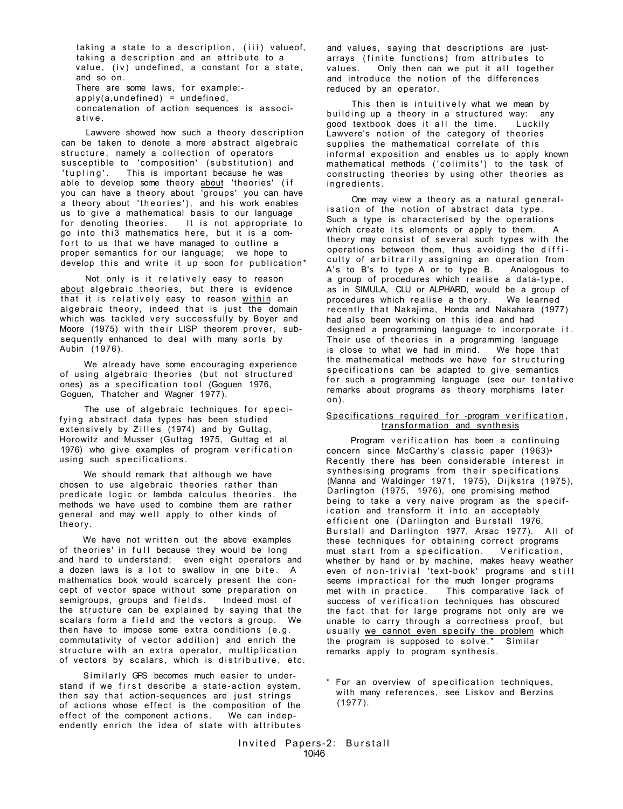taking a state to a description, (iii) valueof, taking a description and an attribute to a value, (iv) undefined, a constant for a state, and so on. There are some laws, for example: $apoly(a, undefined) = undefined$ . concatenation of action sequences is associative .

Lawvere showed how such a theory description can be taken to denote a more abstract algebraic structure, namely a collection of operators susceptible to 'composition' (substitution) and 'tupling'. This is important because he was able to develop some theory about 'theories' (if you can have a theory about 'groups' you can have a theory about 'theories'), and his work enables us to give a mathematical basis to our language for denoting theories. It is not appropriate to go into thi3 mathematics here, but it is a comfort to us that we have managed to outline a proper semantics for our language; we hope to develop this and write it up soon for publication\*

Not only is it relatively easy to reason about algebraic theories, but there is evidence that it is relatively easy to reason within an algebraic theory, indeed that is just the domain which was tackled very successfully by Boyer and Moore (1975) with their LISP theorem prover, subsequently enhanced to deal with many sorts by Aubin (1976).

We already have some encouraging experience of using algebraic theories (but not structured ones) as a specification tool (Goguen 1976, Goguen, Thatcher and Wagner 1977).

The use of algebraic techniques for specifying abstract data types has been studied extensively by Zilles (1974) and by Guttag, Horowitz and Musser (Guttag 1975, Guttag et al 1976) who give examples of program verification using such specifications .

We should remark that although we have chosen to use algebraic theories rather than predicate logic or lambda calculus theories, the methods we have used to combine them are rather general and may well apply to other kinds of theory.

We have not written out the above examples of theories' in full because they would be long and hard to understand; even eight operators and a dozen laws is a lot to swallow in one bite.  $A$ mathematics book would scarcely present the concept of vector space without some preparation on<br>semigroups, groups and fields. Indeed most of semigroups, groups and fields. the structure can be explained by saying that the scalars form a field and the vectors a group. We then have to impose some extra conditions (e.g . commutativity of vector addition) and enrich the structure with an extra operator, multiplication of vectors by scalars, which is distributive, etc.

Similarly GPS becomes much easier to understand if we first describe a state-action system, then say that action-sequences are just strings of actions whose effect is the composition of the effect of the component actions. We can independently enrich the idea of state with attributes

and values, saying that descriptions are justarrays (finite functions) from attributes to values. Only then can we put it all together and introduce the notion of the differences reduced by an operator.

This then is intuitively what we mean by building up a theory in a structured way: any good textbook does it all the time. Luckily Lawvere's notion of the category of theories supplies the mathematical correlate of this informal exposition and enables us to apply known mathematical methods ('colimits') to the task of constructing theories by using other theories as ingredients .

One may view a theory as a natural generalisation of the notion of abstract data type. Such a type is characterised by the operations which create its elements or apply to them. A theory may consist of several such types with the operations between them, thus avoiding the diffi culty of arbitrarily assigning an operation from A's to B's to type A or to type B. Analogous to a group of procedures which realise a data-type, as in SIMULA, CLU or ALPHARD, would be a group of procedures which realise a theory. We learned recently that Nakajima, Honda and Nakahara (1977) had also been working on this idea and had designed a programming language to incorporate it . Their use of theories in a programming language is close to what we had in mind. We hope that the mathematical methods we have for structuring specifications can be adapted to give semantics for such a programming language (see our tentative remarks about programs as theory morphisms later on).

# Specifications required for -program verification, transformation and synthesis

Program verification has been a continuing concern since McCarthy's classic paper (1963). Recently there has been considerable interest in synthesising programs from their specifications (Manna and Waldinger 1971, 1975), Dijkstra (1975), Darlington (1975, 1976), one promising method being to take a very naive program as the specification and transform it into an acceptably efficient one (Darlington and Burstall 1976, Burstall and Darlington 1977, Arsac 1977). All of these techniques for obtaining correct programs must start from a specification. Verification, whether by hand or by machine, makes heavy weather even of non-trivial 'text-book' programs and still seems impractical for the much longer programs met with in practice. This comparative lack of success of verification techniques has obscured the fact that for large programs not only are we unable to carry through a correctness proof, but usually we cannot even specify the problem which the program is supposed to solve.\* Similar remarks apply to program synthesis.

\* For an overview of specification techniques, with many references, see Liskov and Berzins (1977).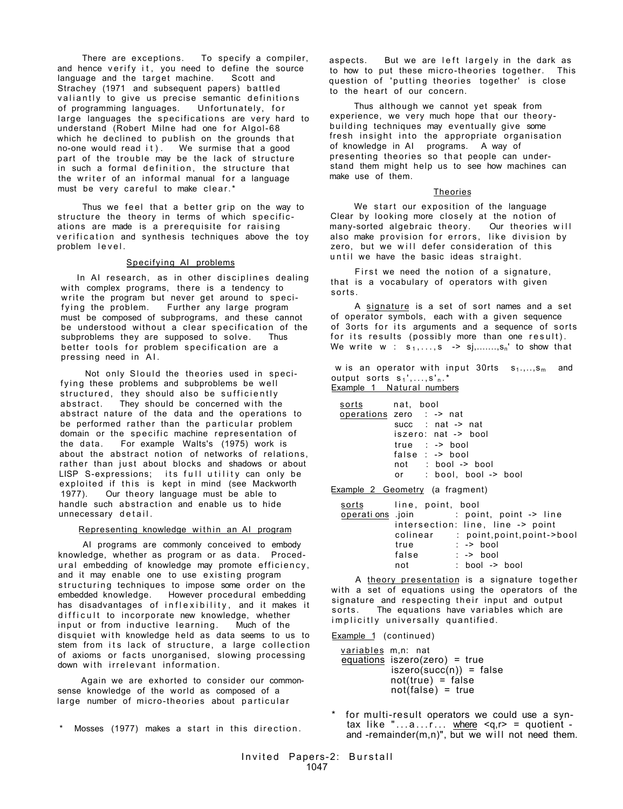There are exceptions. To specify a compiler, and hence verify it, you need to define the source language and the target machine. Scott and Strachey (1971 and subsequent papers) battle d valiantly to give us precise semantic definitions<br>of programming languages. Unfortunately, for of programming languages. large languages the specifications are very hard to understand (Robert Milne had one for Algol-68 which he declined to publish on the grounds that no-one would read it). We surmise that a good part of the trouble may be the lack of structure in such a formal definition, the structure that the writer of an informal manual for a language must be very careful to make clear.\*

Thus we feel that a better grip on the way to structure the theory in terms of which specifications are made is a prerequisite for raising verification and synthesis techniques above the toy problem level .

#### Specifying AI problems

In AI research, as in other disciplines dealing with complex programs, there is a tendency to write the program but never get around to specifying the problem. Further any large program must be composed of subprograms, and these cannot be understood without a clear specification of the subproblems they are supposed to solve. Thus better tools for problem specification are a pressing need in AI .

Not only Slould the theories used in specifying these problems and subproblems be well structured, they should also be sufficiently  $abstract$  . They should be concerned with the abstract nature of the data and the operations to be performed rather than the particular problem domain or the specific machine representation of<br>the data. For example Walts's (1975) work is For example Walts's (1975) work is about the abstract notion of networks of relations, rather than just about blocks and shadows or about LISP S-expressions; its full utility can only be exploited if this is kept in mind (see Mackworth 1977). Our theory language must be able to handle such abstraction and enable us to hide unnecessary detail.

### Representing knowledge within an AI program

AI programs are commonly conceived to embody knowledge, whether as program or as data. Procedural embedding of knowledge may promote efficiency, and it may enable one to use existing program structuring techniques to impose some order on the embedded knowledge. However procedural embedding However procedural embedding has disadvantages of inflexibility, and it makes it difficult to incorporate new knowledge, whether input or from inductive learning . Much of the disquiet with knowledge held as data seems to us to stem from its lack of structure, a large collection of axioms or facts unorganised, slowing processing down with irrelevant information.

Again we are exhorted to consider our commonsense knowledge of the world as composed of a large number of micro-theories about particular

\* Mosses (1977) makes a start in this direction.

aspects. But we are left largely in the dark as to how to put these micro-theories together. This question of 'putting theories together' is close to the heart of our concern.

Thus although we cannot yet speak from experience, we very much hope that our theorybuilding techniques may eventually give some fresh insight into the appropriate organisation of knowledge in AI programs. A way of presenting theories so that people can understand them might help us to see how machines can make use of them.

## Theories

We start our exposition of the language Clear by looking more closely at the notion of many-sorted algebraic theory. Our theories will also make provision for errors, like division by zero, but we will defer consideration of this until we have the basic ideas straight.

First we need the notion of a signature, that is a vocabulary of operators with given sorts .

A signature is a set of sort names and a set of operator symbols, each with a given sequence of 3orts for its arguments and a sequence of sorts for its results (possibly more than one result). We write  $w : s_1, \ldots, s \rightarrow s_j, \ldots, s_n'$  to show that

w is an operator with input 30rts  $s_1, \ldots, s_m$  and output sorts  $s_1$ ',..., $s'_n$ .\* Example 1 Natural numbers

| operations zero  : -> nat |    |                        |  |
|---------------------------|----|------------------------|--|
|                           |    | succ : $nat$ -> $nat$  |  |
|                           |    | iszero: nat -> bool    |  |
|                           |    | $true : -> bool$       |  |
|                           |    | $false: -> bool$       |  |
|                           |    | not : bool -> bool     |  |
|                           | or | $:$ bool. bool -> bool |  |

Example 2 Geometry (a fragment)

| sorts           | line, point, bool                 |  |                             |  |
|-----------------|-----------------------------------|--|-----------------------------|--|
| operations join |                                   |  | : point, point -> line      |  |
|                 | intersection: line, line -> point |  |                             |  |
|                 | colinear                          |  | : point, point, point->bool |  |
|                 | true                              |  | $: -\ge$ bool               |  |
|                 | false                             |  | $: -\ge$ bool               |  |
|                 | not                               |  | $:$ bool -> bool            |  |

A theory presentation is a signature together with a set of equations using the operators of the signature and respecting their input and output sorts. The equations have variables which are implicitly universally quantified.

Example 1 (continued)

variables m,n: nat equations iszero(zero) = true  $iszero(succ(n)) = false$  $not(true) = false$  $not(false) = true$ 

for multi-result operators we could use a syntax like " $\dots a \dots r \dots$  where  $\leq q, r$  = quotient and -remainder $(m,n)$ ", but we will not need them.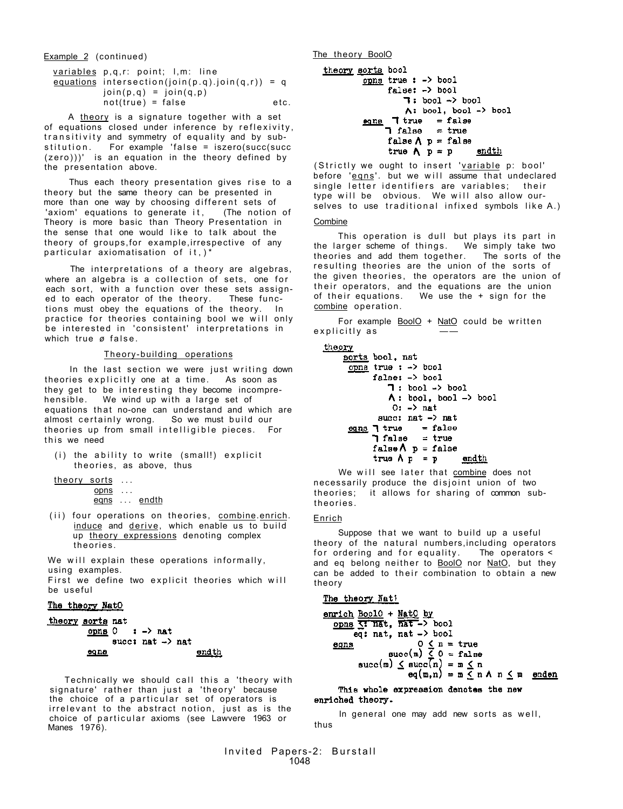Example 2 (continued) Continued Example 2 (continued)

| variables p,q,r: point; l,m: line                       |      |
|---------------------------------------------------------|------|
| equations intersection(join( $p,q$ ).join( $q,r$ )) = q |      |
| $\{ \text{join}(p,q) = \text{join}(q,p) \}$             |      |
| $not(true) = false$                                     | etc. |

A theory is a signature together with a set of equations closed under inference by reflexivity, transitivity and symmetry of equality and by sub $stitution.$  For example 'false = iszero(succ(succ (zero)))' is an equation in the theory defined by the presentation above.

Thus each theory presentation gives rise to a theory but the same theory can be presented in more than one way by choosing different sets of 'axiom' equations to generate it, (The notion of Theory is more basic than Theory Presentation in the sense that one would like to talk about the theory of groups,for example,irrespective of any particular axiomatisation of  $it$ ,  $i$ 

The interpretations of a theory are algebras, where an algebra is a collection of sets, one for each sort, with a function over these sets assigned to each operator of the theory. These functions must obey the equations of the theory. In practice for theories containing bool we will only be interested in 'consistent' interpretations in which true ø false.

## Theory-building operations

In the last section we were just writing down theories explicitly one at a time. As soon as they get to be interesting they become incomprehensible. We wind up with a large set of equations that no-one can understand and which are almost certainly wrong. So we must build our theories up from small intelligible pieces. For this we need

 $(i)$  the ability to write (small!) explicit theories, as above, thus

theory sorts ...  $opns$  ... eqns ... endth

(ii) four operations on theories, combine.enrich. induce and derive, which enable us to build up theory expressions denoting complex theories .

We will explain these operations informally, using examples. First we define two explicit theories which will be useful

## The theory NatO

```
theory sorts nat
            opns 0 \rightarrow -\rightarrow nat
                   succt nat \rightarrow nat
            00n<u>endth</u>
```
Technically we should call this a 'theory with signature' rather than just a 'theory' because the choice of a particular set of operators is irrelevant to the abstract notion, just as is the choice of particular axioms (see Lawvere 1963 or Manes 1976).

```
theory sorts bool
          opns true : -> bool
                false: -\rangle bool
                     7: bool \rightarrow bool\wedge: bool, bool \rightarrow bool
          eqns \overline{1} true = false
                 \blacksquare false = true
                false \Lambda p = false
                 true A p = pendth
```
(Strictly we ought to insert 'variable p: bool' before 'eqns'. but we will assume that undeclared single letter identifiers are variables; their type will be obvious. We will also allow ourselves to use traditional infixed symbols like A.) Combine

This operation is dull but plays its part in the larger scheme of things . We simply take two theories and add them together. The sorts of the resulting theories are the union of the sorts of the given theories, the operators are the union of their operators, and the equations are the union of their equations. We use the  $+$  sign for the combine operation.

For example BoolO + NatO could be written explicitly as

```
theory
```

```
sorts bool, nat
 opna true : -> bool
          false: -\rangle bool
                7: bool \rightarrow bool\Lambda: bool, bool \rightarrow bool
                 0: -\rangle nat
            succ: nat \rightarrow nat\frac{\text{eqns}}{\text{1 false}} \begin{array}{ccc} \text{true} & = \text{false} \\ \text{false} & = \text{true} \end{array}false\Lambda p = false
          true \Lambda p = pendth
```
We will see later that combine does not necessarily produce the disjoint union of two theories; it allows for sharing of common subtheories .

# Enrich

Suppose that we want to build up a useful theory of the natural numbers, including operators for ordering and for equality. The operators  $\leq$ and eq belong neither to BoolO nor NatO, but they can be added to their combination to obtain a new theory

```
The theory Nati
```

```
enrich BoolO + NatO by
      \overline{ opns \overline{C} \overline{R} \overline{R} \overline{R} \overline{R} \overline{R} \overline{R} \overline{R} \overline{R} \overline{R} \overline{R} \overline{R} \overline{R} \overline{R} \overline{R} \overline{R} \overline{R} \overline{R} \overline{R} \overline{R} \overline{R} \overline{R} \overline{R} \eq: nat, nat -> bool
                                          0 \le n = \text{true}<br>succ(m) \le 0 = \text{false}egns
                       succ(m) \leq succ(n) = m \leq n
                                                        eq(m,n) = m \leq n \land n \leq m enden
```
This whole expression denotes the new enriched theory.

In general one may add new sorts as well, thus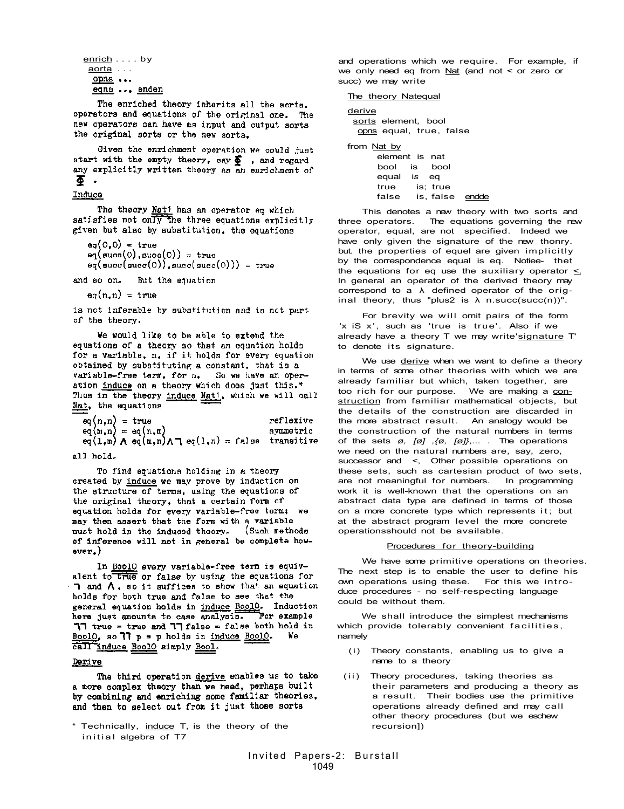| enrich bv |  |             |
|-----------|--|-------------|
| aorta     |  |             |
| opns      |  |             |
|           |  | eqns  enden |
|           |  |             |

The enriched theory inherits all the sorts. operators and equations of the original one. The new operators can have as input and output sorts the original sorts or the new sorts.

Given the enrichment operation we could just start with the empty theory, say  $\sum_{n=1}^{\infty}$ , and regard any explicitly written theory as an enrichment of Ω.

#### Induce

The theory Nati has an operator eq which satisfies not only the three equations explicitly given but also by substitution, the equations

```
eq(0,0) = trueeq(\text{succ}(0), \text{succ}(0)) = \text{true}
```
 $eq(succ(succ(0)), succ(succ(0))) = true$ 

and so on. But the equation

 $eq(n,n) = true$ 

is not inferable by substitution and is not part of the theory.

We would like to be able to extend the equations of a theory so that an equation holds for a variable, n. if it holds for every equation obtained by substituting a constant, that is a variable-free term, for n. So we have an operation induce on a theory which does just this.\* Thus in the theory induce Nati, which we will call Nat, the equations

| $eq(n,n) = true$ |                                                                                                       | reflexive |
|------------------|-------------------------------------------------------------------------------------------------------|-----------|
|                  | $eq(n, n) = eq(n, m)$ symmetric<br>$eq(1, m) \wedge eq(n, n) \wedge \neg eq(1, n) =$ false transitive |           |
|                  |                                                                                                       |           |

all hold.

To find equations holding in a theory created by induce we may prove by induction on the structure of terms, using the equations of the original theory, that a certain form of equation holds for every variable-free term; we may then assert that the form with a variable must hold in the induced theory. (Such methods of inference will not in general be complete howaver.}

In Bool0 every variable-free term is equivalent to true or false by using the equations for  $\Box$  and  $\Lambda$ , so it suffices to show that an equation holds for both true and false to see that the general equation holds in induce BoolO. Induction here just amounts to case analysis. For example  $77$  true = true and  $77$  false = false both hold in BoolO, so  $77$  p = p holds in induce BoolO. Ve call induce BoolO simply Bool.

#### <u>Derive</u>

The third operation derive enables us to take a more complex theory than we need, perhaps built by combining and enriching some familiar theories. and then to select out from it just those sorts

\* Technically, induce T, is the theory of the initial algebra of T7

and operations which we require. For example, if we only need eq from Nat (and not < or zero or succ) we may write

The theory Natequal

```
derive 
 sorts element, bool
  opns equal, true, false 
from Nat by 
      element is nat 
      bool is bool 
      equal is eq 
             is; true
      false is, false endde
```
This denotes a new theory with two sorts and three operators. The equations governing the new operator, equal, are not specified. Indeed we have only given the signature of the new thonry. but. the properties of equel are given implicitly by the correspondence equal is eq. Notiee- thet the equations for eq use the auxiliary operator  $\leq$ . In general an operator of the derived theory may correspond to a  $\lambda$  defined operator of the original theory, thus "plus2 is  $\lambda$  n.succ(succ(n))".

For brevity we will omit pairs of the form 'x iS x', such as 'true is true'. Also if we already have a theory T we may write'signature T' to denote its signature.

We use derive when we want to define a theory in terms of some other theories with which we are already familiar but which, taken together, are too rich for our purpose. We are making a construction from familiar mathematical objects, but the details of the construction are discarded in the more abstract result. An analogy would be the construction of the natural numbers in terms of the sets *ø, [ø] ,{ø, [ø]}*,... . The operations we need on the natural numbers are, say, zero, successor and <, Other possible operations on these sets, such as cartesian product of two sets, are not meaningful for numbers. In programming work it is well-known that the operations on an abstract data type are defined in terms of those on a more concrete type which represents it; but at the abstract program level the more concrete operationsshould not be available.

# Procedures for theory-building

We have some primitive operations on theories. The next step is to enable the user to define his own operations using these. For this we introduce procedures - no self-respecting language could be without them.

We shall introduce the simplest mechanisms which provide tolerably convenient facilities, namely

- (i) Theory constants, enabling us to give a name to a theory
- (ii) Theory procedures, taking theories as their parameters and producing a theory as a result. Their bodies use the primitive operations already defined and may call other theory procedures (but we eschew recursion])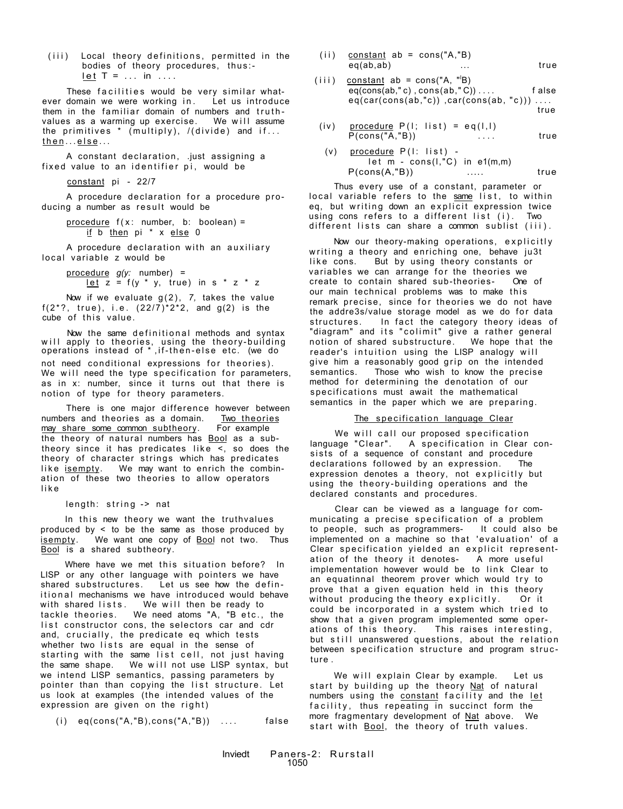(iii) Local theory definitions, permitted in the bodies of theory procedures, thus:  $let T = ... in ...$ 

These facilities would be very similar whatever domain we were working in. Let us introduce them in the familiar domain of numbers and truth-<br>values as a warming up exercise. We will assume values as a warming up exercise. the primitives  $*$  (multiply), /(divide) and if... then...else...

A constant declaration, .just assigning a fixed value to an identifier pi, would be

constant pi - 22/7

A procedure declaration for a procedure producing a number as result would be

> $procedure f(x: number, b: boolean) =$ if b then pi \* x else 0

A procedure declaration with an auxiliary local variable z would be

> procedure *g(y:* number) = let  $z = f(y * y, true)$  in  $s * z * z$

Now if we evaluate g(2), *7,* takes the value f(2\*?, true), i.e.  $(22/7)^*2^*2$ , and g(2) is the cube of this value.

Now the same definitional methods and syntax will apply to theories, using the theory-building operations instead of \*,if-then-else etc. (we do not need conditional expressions for theories). We will need the type specification for parameters, as in x: number, since it turns out that there is notion of type for theory parameters.

There is one major difference however between numbers and theories as a domain. Two theories may share some common subtheory. For example may share some common subtheory. the theory of natural numbers has Bool as a subtheory since it has predicates like  $\le$ , so does the theory of character strings which has predicates like isempty. We may want to enrich the combination of these two theories to allow operators lik e

length: string -> nat

In this new theory we want the truthvalues produced by  $\leq$  to be the same as those produced by isempty. We want one copy of Bool not two. Thus Bool is a shared subtheory.

Where have we met this situation before? In LISP or any other language with pointers we have shared substructures. Let us see how the definitional mechanisms we have introduced would behave with shared lists. We will then be ready to tackle theories. We need atoms "A, "B etc., the list constructor cons, the selectors car and cdr and, crucially, the predicate eq which tests whether two lists are equal in the sense of starting with the same list cell, not just having the same shape. We will not use LISP syntax, but we intend LISP semantics, passing parameters by pointer than than copying the list structure. Let us look at examples (the intended values of the expression are given on the right)

 $(i)$  eq(cons("A,"B),cons("A,"B))  $\dots$  false

- $(i)$  constant ab = cons( $'A$ , $'B$ ) eq(ab,ab) ... true
- $(iii)$  constant ab = cons("A, "B)  $eq(\text{cons}(ab, "c), \text{cons}(ab, "C)) \dots$  false  $eq(car(cons(ab,"c))$ ,  $car(cons(ab, "c)))$ ... true
- (iv) procedure  $P(1; list) = eq(1,1)$  $P(cons("A,"B))$  ... true
- (v) procedure  $P(I: list)$  let  $m - const(1, "C)$  in e1 $(m,m)$ P(cons(A,"B)) ..... true

Thus every use of a constant, parameter or local variable refers to the same list, to within eq, but writing down an explicit expression twice using cons refers to a different list (i). Two different lists can share a common sublist (iii).

Now our theory-making operations, explicitly writing a theory and enriching one, behave ju3t like cons. But by using theory constants or variables we can arrange for the theories we<br>create to contain shared sub-theories- One of  $create to contain shared sub-theories$ our main technical problems was to make this remark precise, since for theories we do not have the addre3s/value storage model as we do for data structures. In fact the category theory ideas of "diagram" and its "colimit" give a rather general notion of shared substructure. We hope that the reader's intuition using the LISP analogy will give him a reasonably good grip on the intended semantics. Those who wish to know the precise Those who wish to know the precise method for determining the denotation of our specifications must await the mathematical semantics in the paper which we are preparing.

#### The specification language Clear

We will call our proposed specification language "Clear". A specification in Clear consists of a sequence of constant and procedure declarations followed by an expression. The expression denotes a theory, not explicitly but using the theory-building operations and the declared constants and procedures.

Clear can be viewed as a language for communicating a precise specification of a problem to people, such as programmers- It could also be implemented on a machine so that 'evaluation' of a Clear specification yielded an explicit representation of the theory it denotes- A more useful implementation however would be to link Clear to an equatinnal theorem prover which would try to prove that a given equation held in this theory without producing the theory explicitly. Or it could be incorporated in a system which tried to show that a given program implemented some operations of this theory. This raises interesting, but still unanswered questions, about the relation between specification structure and program structure .

We will explain Clear by example. Let us start by building up the theory Nat of natural numbers using the constant facility and the let facility, thus repeating in succinct form the more fragmentary development of Nat above. We start with **Bool**, the theory of truth values.

Inviedt Paners-2: Rurstall 1050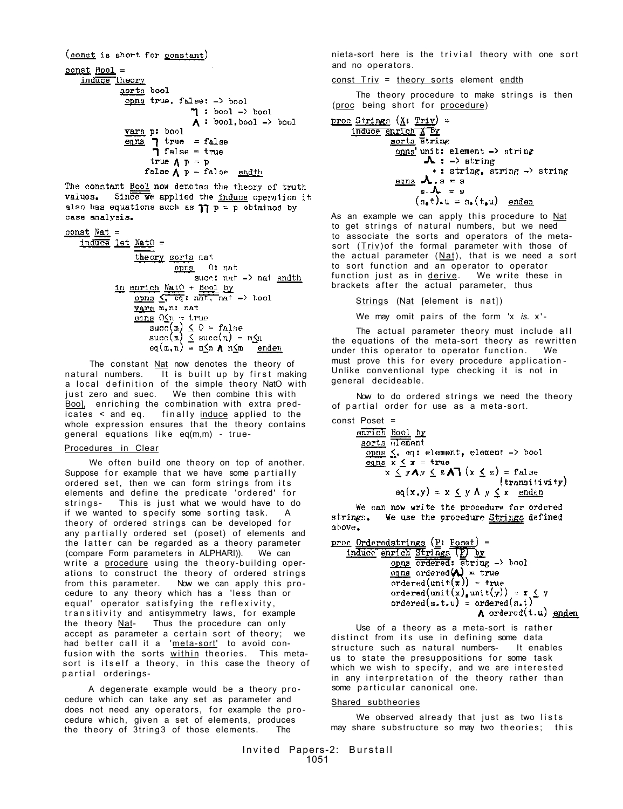```
(const is short for constant)
const Bool =induce theory
              <u>sorts</u> bool
               opns true, false: -> bool
                                \eta : bool -> bool
                                \Lambda: bool, bool -> bool
               vara p: bool
               eqns \blacksquare true = false
                      \overrightarrow{1} false = true
                     true \Lambda p = pfalse \bigwedge p = false endth
```
The constant Rool now denotes the theory of truth Since we applied the induce operation it values. also has equations such as  $\eta \tau = p$  obtained by case analysis.

const Nat = induce let NatO = theory sorts nat  $opna$   $0:$  nat succ: nat -> nat endth in enrich NatO + Bool by opns  $\overline{\left\langle \cdot\right\rangle}$   $\overline{\left\langle e\right\rangle}$ ;  $n\overline{a^{\dagger}}, n\overline{a^{\dagger}} \rightarrow \text{bool}$ vars m, n: nat <u>eqns</u> O<u>K</u>n = true succ(m)  $\leq 0$  = false<br>succ(m)  $\leq 0$  = false<br> $\frac{1}{2}$  succ(n) = m $\leq$ n  $eq(m, n) = m$  n n n m enden

The constant Nat now denotes the theory of natural numbers. It is built up by first making a local definition of the simple theory NatO with just zero and suec. We then combine this with Boo], enriching the combination with extra pred $i$ cates < and eq. finally induce applied to the whole expression ensures that the theory contains general equations like eq(m,m) - true-

#### Procedures in Clear

We often build one theory on top of another. Suppose for example that we have some partially ordered set, then we can form strings from its elements and define the predicate 'ordered' for strings- This is just what we would have to do if we wanted to specify some sorting task. A theory of ordered strings can be developed for any partially ordered set (poset) of elements and the latter can be regarded as a theory parameter (compare Form parameters in ALPHARI)). We can write a procedure using the theory-building operations to construct the theory of ordered strings from this parameter. Now we can apply this procedure to any theory which has a 'less than or equal' operator satisfying the reflexivity, transitivity and antisymmetry laws, for example the theory Nat- Thus the procedure can only accept as parameter a certain sort of theory; we had better call it a 'meta-sort' to avoid confusion with the sorts within theories. This metasort is itself a theory, in this case the theory of partial orderings-

A degenerate example would be a theory procedure which can take any set as parameter and does not need any operators, for example the procedure which, given a set of elements, produces the theory of 3tring3 of those elements. The

nieta-sort here is the trivial theory with one sort and no operators.

const Triv = theory sorts element endth

The theory procedure to make strings is then (proc being short for procedure)

```
\n
$$
\text{proc} \frac{\text{String}}{\text{index}} (\underline{X} : \underline{Triv}) =\n \frac{\text{index}}{\text{sorts}} \frac{\overline{X} \cdot \overline{D}y}{\text{string}}\n \frac{\text{const}}{\text{unit}} \cdot \text{element} \rightarrow \text{string}\n \rightarrow \text{string}, \quad \text{string} \rightarrow \text{string}\n \rightarrow \text{string}, \quad \text{string} \rightarrow \text{string}\n \cdot \text{string}, \quad \text{string} \rightarrow \text{string}\n \cdot \text{string}, \quad \text{string} \rightarrow \text{string}\n \cdot \text{string}, \quad \text{string} \rightarrow \text{string}\n \cdot \text{string}, \quad \text{string} \rightarrow \text{string}\n \cdot \text{string}, \quad \text{string} \rightarrow \text{string}\n \cdot \text{string}, \quad \text{string} \rightarrow \text{string}\n \cdot \text{string}, \quad \text{string} \rightarrow \text{string}\n \cdot \text{string}, \quad \text{string} \rightarrow \text{string}\n \cdot \text{string}, \quad \text{string} \rightarrow \text{string}\n \cdot \text{string}, \quad \text{string} \rightarrow \text{string}\n \cdot \text{string}, \quad \text{string} \rightarrow \text{string}\n \cdot \text{string}, \quad \text{string} \rightarrow \text{string}\n \cdot \text{string}, \quad \text{string} \rightarrow \text{string}\n \cdot \text{string}, \quad \text{string} \rightarrow \text{string}\n \cdot \text{string}, \quad \text{string} \rightarrow \text{string}\n \cdot \text{string}, \quad \text{string} \rightarrow \text{string}\n \cdot \text{string}, \quad \text{string} \rightarrow \text{string}\n \cdot \text{string}, \quad \text{string} \rightarrow \text{string}\n \cdot \text{string}, \quad \text{string} \rightarrow \text{string}\n \cdot \text{string}, \quad \text{string} \rightarrow \text{string}\n \cdot \text{string}, \quad \text{string} \rightarrow \text{string}\n \cdot \text{string}, \quad \text{string} \rightarrow \text{string}\n \cdot \text{string}, \quad \text{string} \rightarrow \text{string}\n \cdot \text{string}, \quad \text{string} \rightarrow \text{string}\n \cdot \text{string}, \quad \text{string} \rightarrow \text{string}\n \cdot \text{string}, \quad \text{string} \rightarrow \text{string}\n \cdot \text{string}, \quad \text{string} \rightarrow \text{string}\n \cdot \text{string}, \quad \text{string} \rightarrow \text{string}\n \cdot \
$$

```

As an example we can apply this procedure to Nat to get strings of natural numbers, but we need to associate the sorts and operators of the metasort  $(Triv)$  of the formal parameter with those of the actual parameter  $(Nat)$ , that is we need a sort to sort function and an operator to operator function just as in derive. We write these in brackets after the actual parameter, thus

Strings (Nat [element is nat])

We may omit pairs of the form 'x is. x'-

The actual parameter theory must include all the equations of the meta-sort theory as rewritten under this operator to operator function. We must prove this for every procedure application-Unlike conventional type checking it is not in general decideable.

Now to do ordered strings we need the theory of partial order for use as a meta-sort.

```
const Poset = 
       enrich Rool by
        sorts element
         opns \leq, eq: element, element -> bool<br>eqns x \leq x = truex \leq y \wedge y \leq z \wedge \overline{1} (x \leq z) = false(transitivity)eq(x,y) = x \leq y \land y \leq x enden
```
We can now write the procedure for ordered strings. We use the procedure Strings defined above.

```
proc Orderedstrings (P: Poset) =
      induce enrich Strings (P) by<br>opns ordered; string -> bool
                         \frac{\text{eqn}}{\text{eqn}} \text{ordered}(\mathbf{A}) = \text{true}<br>
\text{ordered}(\text{unit}(\mathbf{x})) = \text{true}ordered(unit(x),unit(y)) = x \le y<br>ordered(s.t.u) = ordered(s.t)
                                                             A ordered(t.u) anden
```
Use of a theory as a meta-sort is rather distinct from its use in defining some data structure such as natural numbers- It enables us to state the presuppositions for some task which we wish to specify, and we are interested in any interpretation of the theory rather than some particular canonical one.

#### Shared subtheories

We observed already that just as two lists may share substructure so may two theories; this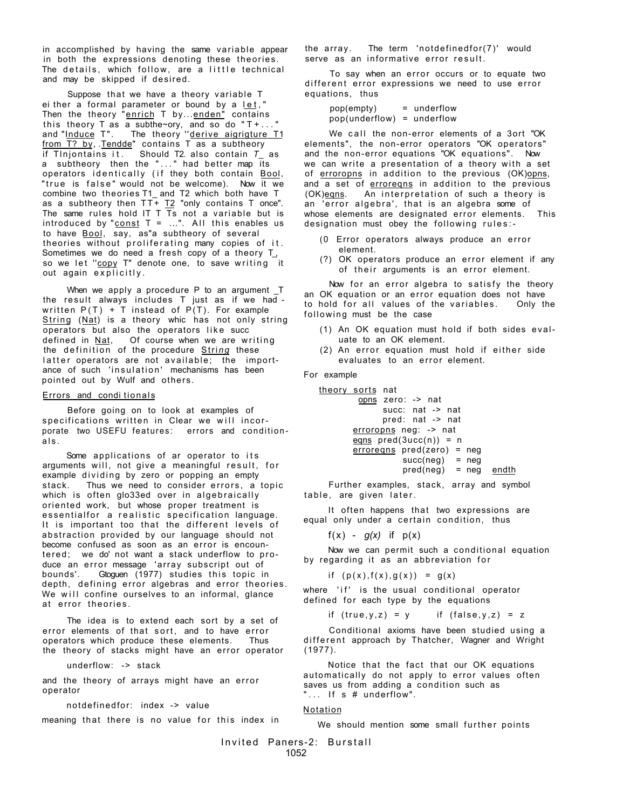in accomplished by having the same variable appear in both the expressions denoting these theories . The details, which follow, are a little technical and may be skipped if desired.

Suppose that we have a theory variable T ei ther a formal parameter or bound by a let, " Then the theory "enrich T by...enden" contains this theory T as a subthe~ory, and so do " $T + ...$ and "Induce T". The theory "derive aigrigture T1 from T? by, Tendde" contains T as a subtheory if Tlnjontains it . Should T2. also contain *T\_* as a subtheory then the "..." had better map its operators identically (if they both contain Bool, "true is false" would not be welcome). Now it we combine two theories T1\_ and T2 which both have T as a subtheory then TT+ T2 "only contains T once". The same rules hold IT T Ts not a variable but is introduced by "const  $T = ...$ ". All this enables us to have Bool, say, as"a subtheory of several theories without proliferating many copies of it. Sometimes we do need a fresh copy of a theory T\_, so we let "copy T" denote one, to save writing it out again explicitly.

When we apply a procedure P to an argument \_T the result always includes T just as if we had written  $P(T) + T$  instead of  $P(T)$ . For example String (Nat) is a theory whic has not only string operators but also the operators like succ defined in Nat, Of course when we are writing the definition of the procedure **String** these latter operators are not available; the importance of such 'insulation' mechanisms has been pointed out by Wulf and others.

#### Errors and conditionals

Before going on to look at examples of specifications written in Clear we will incorporate two USEFU features: errors and conditionals .

Some applications of ar operator to its arguments will, not give a meaningful result, for example dividing by zero or popping an empty stack. Thus we need to consider errors, a topic which is often glo33ed over in algebraically oriented work, but whose proper treatment is essentialfor a realistic specification language. It is important too that the different levels of abstraction provided by our language should not become confused as soon as an error is encountered; we do' not want a stack underflow to produce an error message 'array subscript out of bounds'. Gtoguen (1977) studies this topic in depth, defining error algebras and error theories. We will confine ourselves to an informal, glance at error theories .

The idea is to extend each sort by a set of error elements of that sort, and to have error operators which produce these elements. Thus the theory of stacks might have an error operator

underflow: -> stack

and the theory of arrays might have an error operator

notdefinedfor: index -> value

meaning that there is no value for this index in

the array. The term 'notdefinedfor(7)' would serve as an informative error result.

To say when an error occurs or to equate two different error expressions we need to use error equations, thus

pop(empty) = underflow pop(underflow) = underflow

We call the non-error elements of a 3ort "OK elements", the non-error operators "OK operators" and the non-error equations "OK equations". Now we can write a presentation of a theory with a set of erroropns in addition to the previous (OK)opns, and a set of erroregns in addition to the previous (OK) eqns. An interpretation of such a theory is an 'error algebra', that is an algebra some of whose elements are designated error elements. This designation must obey the following rules: -

- (0 Error operators always produce an error element.
- (?) OK operators produce an error element if any of their arguments is an error element.

Now for an error algebra to satisfy the theory an OK equation or an error equation does not have to hold for all values of the variables. Only the following must be the case

- (1) An OK equation must hold if both sides evaluate to an OK element.
- $(2)$  An error equation must hold if either side evaluates to an error element.

For example

theory sorts nat opns zero: -> nat succ: nat -> nat pred: nat -> nat erroropns neg: -> nat eqns  $pred(3ucc(n)) = n$ erroreqns pred(zero) = neg  $succ(neg)$  = neg  $pred(neg) = neg$  endth

Further examples, stack, array and symbol table, are given later.

It often happens that two expressions are equal only under a certain condition, thus

f(x) -  $g(x)$  if  $p(x)$ 

Now we can permit such a conditional equation by regarding it as an abbreviation for

if  $(p(x), f(x), g(x)) = g(x)$ 

where 'if' is the usual conditional operator defined for each type by the equations

if (true,  $y, z$ ) = y if (false,  $y, z$ ) = z

Conditional axioms have been studied using a different approach by Thatcher, Wagner and Wright (1977).

Notice that the fact that our OK equations automatically do not apply to error values often saves us from adding a condition such as "... If  $s$  # underflow".

#### Notation

We should mention some small further points

Invite d Paners-2: Burstal l 1052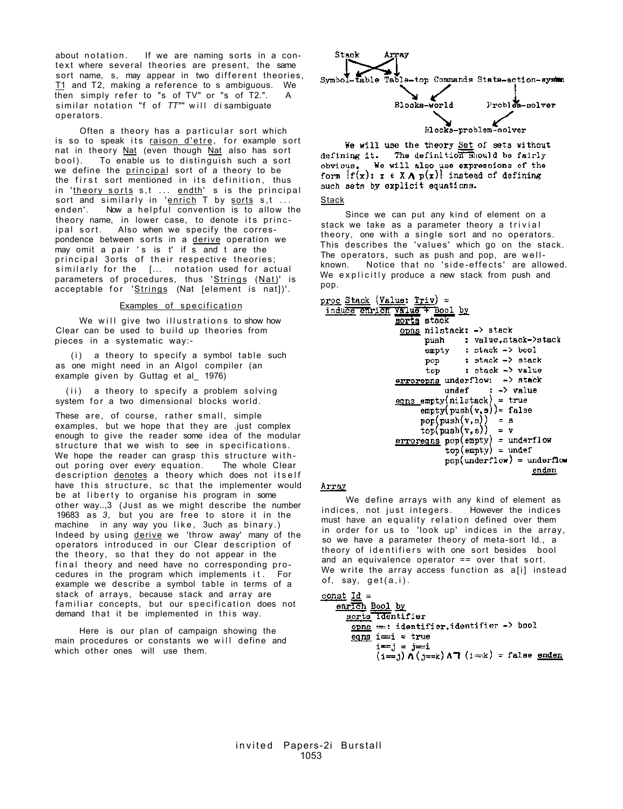about notation. If we are naming sorts in a context where several theories are present, the same sort name, s, may appear in two different theories, T1 and T2, making a reference to s ambiguous. We then simply refer to "s of  $TV$ " or "s of  $T2$ .". A similar notation "f of TT"" will disambiquate operators.

Often a theory has a particular sort which is so to speak its raison d'etre, for example sort nat in theory Nat (even though Nat also has sort bool). To enable us to distinguish such a sort we define the principal sort of a theory to be the first sort mentioned in its definition, thus in '<u>theory sorts</u> s,t ... endth' s is the principal sort and similarly in '<u>enrich</u> T by <u>sorts</u> s,t ... enden'. Now a helpful convention is to allow the theory name, in lower case, to denote its principal sort. Also when we specify the correspondence between sorts in a derive operation we may omit a pair 's is  $t'$  if  $\overline{s}$  and  $t$  are the principal 3orts of their respective theories; similarly for the [... notation used for actual parameters of procedures, thus 'Strings (Nat)' is acceptable for 'Strings (Nat [element is nat])'.

#### Examples of specification

We will give two illustrations to show how Clear can be used to build up theories from pieces in a systematic way:-

 $(i)$  a theory to specify a symbol table such as one might need in an Algol compiler (an example given by Guttag et al 1976)

(ii) a theory to specify a problem solving system for a two dimensional blocks world.

These are, of course, rather small, simple examples, but we hope that they are .just complex enough to give the reader some idea of the modular structure that we wish to see in specifications. We hope the reader can grasp this structure without poring over *every* equation. The whole Clear description denotes a theory which does not itself have this structure, sc that the implementer would be at liberty to organise his program in some other way..,3 (Just as we might describe the number 19683 as *3,* but you are free to store it in the machine in any way you like, 3uch as binary.) Indeed by using derive we 'throw away' many of the operators introduced in our Clear description of the theory, so that they do not appear in the final theory and need have no corresponding procedures in the program which implements it . For example we describe a symbol table in terms of a stack of arrays, because stack and array are familiar concepts, but our specification does not demand that it be implemented in this way.

Here is our plan of campaign showing the main procedures or constants we will define and which other ones will use them.



We will use the theory Set of sets without defining it. The definition should be fairly obvious. We will also use expressions of the<br>form  $\{f(x): x \in X \wedge p(x)\}$  instead of defining such sets by explicit equations.

**Stack** 

Since we can put any kind of element on a stack we take as a parameter theory a trivial theory, one with a single sort and no operators. This describes the 'values' which go on the stack. The operators, such as push and pop, are wellknown. Notice that no 'side-effects ' are allowed. We explicitly produce a new stack from push and pop.

```
proc Stack (Value: Triv) =
 induce enrich value + Bool by
                     sorts stack
                      \overline{\text{opns}} nilstack: -> stack
                              push
                                         : value, stack->stack
                                         : stack \rightarrow bool
                              empty
                                         : stack \rightarrow stack
                              pop
                                         : stack -> value
                              top
                     errorophs underflow: -> stack
                                               \leftrightarrow value
                                   undef
                     egns empty(nilstack) = true
                            \text{empty}(\text{push}(v, s)) = \text{false}\begin{array}{lll} \texttt{pop}(\texttt{push}(v,s)) & = s \\ \texttt{top}(\texttt{push}(v,s)) & = v \end{array}erroring pop(empty) = underflowtop(empty) = underpop(underflow) = underflowender
```
# Array

We define arrays with any kind of element as indices, not just integers. However the indices must have an equality relation defined over them in order for us to 'look up' indices in the array, so we have a parameter theory of meta-sort Id., a theory of identifiers with one sort besides bool and an equivalence operator == over that sort. We write the array access function as a[i] instead of, say, get(a,i) .

```
const Id =
```

```
enrich Bool by
  sorts identifier
   opns ==: identifier, identifier -> bool
   eqns i = i = true
        i == j = j == i(i=1) \Lambda (j==k) \Lambda (i=k) = false enden
```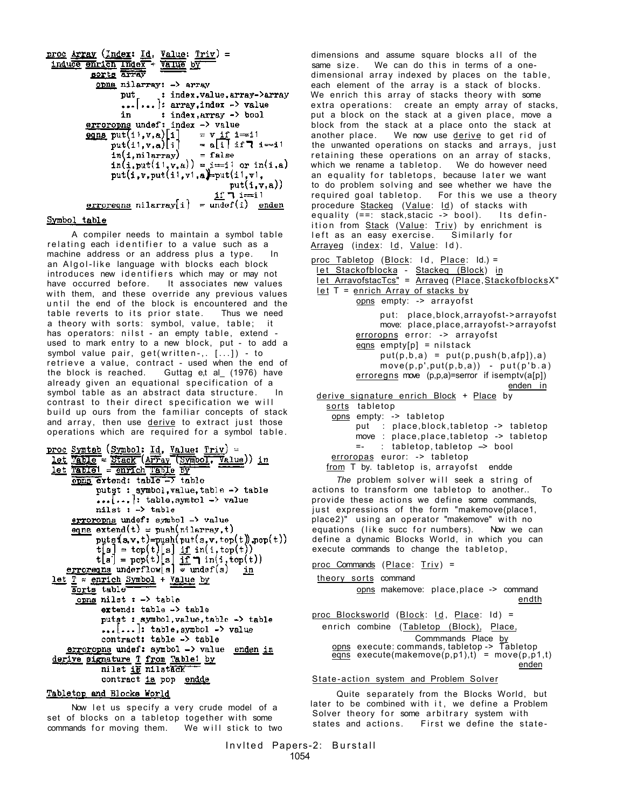```
\frac{\texttt{proc} \; \texttt{Array} \; (\texttt{Index} \; \; \underline{\mathit{Id}}, \; \; \underline{\texttt{Value}} \; \; \underline{\texttt{True}})}{\texttt{induce} \; \texttt{metric} \; \; \underline{\texttt{Index}} + \; \underline{\texttt{Value}} \; \; \underline{\texttt{DY}}} \; =BOTLE ATTAV
                      opns nilarray: -> array
                                 put : index.value.array->array
                                  \ldots ... : array, index -> value
                                 in : index, Array -> bool
                 erroropne undef: index -> value<br>
eqns put(ii,v,a)[i] = v if i=<br>
put(ii,v,a)[i] = a[i] ii
                                                                = \mathbf{v} \mathbf{if} \mathbf{i} = \mathbf{i}<br>= \mathbf{a} \mathbf{[} \mathbf{i} \mathbf{]} \mathbf{if} \mathbf{T} \mathbf{if}= false
                             ln(1, ni \,larray)\min(\frac{1}{2}, \text{put}(11, y, a)) = \frac{1}{2} or \ln(1, a)put(i, v, put(i, v1, a) = put(i1, v1, a)put(i,v,a))if 7 i=11erroregns nilarray[i] = undef(i) enden
```
# Symbol table

A compiler needs to maintain a symbol table relating each identifier to a value such as a machine address or an address plus a type. In an Algol-like language with blocks each block introduces new identifiers which may or may not have occurred before. It associates new values with them, and these override any previous values until the end of the block is encountered and the table reverts to its prior state. Thus we need a theory with sorts: symbol, value, table; it has operators: nilst – an empty table, extend – used to mark entry to a new block, put - to add a symbol value pair,  $get(written-, [-...]) - to$ retrieve a value, contract - used when the end of<br>the block is reached. Guttag et al (1976) have Guttag e,t al\_ $(1976)$  have already given an equational specification of a symbol table as an abstract data structure. In contrast to their direct specification we will build up ours from the familiar concepts of stack and array, then use derive to extract just those operations which are  $required$  for a symbol table.

```
proc Symtab (Symbol: Id. Value: Triv) =
 let Table = Stack (AFFay (Symbol, Value)) in<br>let Table = Stack (AFFay (Symbol, Value)) in<br>let Table = enrich Table EV
              putst : symbol, value, table -> table
              \ldots[...]: table, symbol -> value
              nilst : -> tableerroropns undef: symbol -> value
       eqns extend(t) = push(nilarray, t)puts(x, v, t) = push(put(s, v, top(t)), pop(t))[t] = top(t)[s] \underbrace{if \text{ in}(i, top(t))}_{\text{if } j = pop(t)}<br>t[i] = pop(t)[s] \underbrace{if \text{ in}(i, top(t))}_{\text{if } j = under(s)}let T = enrich Symbol + Value by
       sorts table
        \overline{\text{opus}} nilst : -> table
               extend: table -> table
               putst : symbol, value, table -> table
               \ldots[...]: table, symbol -> value
               contract: table -> table
     errorophs undef: symbol -> value enden in
 derive signature T from Table! by
               nilat is nilstack
               contract is pop endde
```
# Tabletop and Blocks World

Now let us specify a very crude model of a set of blocks on a tabletop together with some commands for moving them. We will stick to two

dimensions and assume square blocks all of the same size. We can do this in terms of a onedimensional array indexed by places on the table, each element of the array is a stack of blocks. We enrich this array of stacks theory with some extra operations: create an empty array of stacks, put a block on the stack at a given place, move a block from the stack at a place onto the stack at a place onto the stack at We now use derive to get rid of the unwanted operations on stacks and arrays, just retaining these operations on an array of stacks, which we rename a tabletop. We do however need an equality for tabletops, because later we want to do problem solving and see whether we have the required goal tabletop. For this we use a theory procedure Stackeq (Value: Id) of stacks with equality  $(==: stack,stack, :=)$  bool). Its definition from Stack (Value: Triv) by enrichment is<br>left as an easy exercise. Similarly for left as an easy exercise. Arrayeg (index: Id, Value: Id).

proc Tabletop (Block: Id , Place: Id.) = l e t Stackofblocka *-* Stackeq (Block) in l e t ArravofstacTcs" = Arraveq (Place,StackofblocksX" l e t T = enrich Array of stacks by opns empty: -> arrayofs t put : place,block,arrayofst->arrayofst move: place,place,arrayofst->arrayofst erroropns error: -> arrayofs t eqns empty[p] = nilstac k put(p,b,a) = put(p,push(b,afp]),a) move(p,p',put(p,b,a)) - put(p'b.a ) erroregns move (p,p,a)=serror if isemptv(a[p]) enden in derive signature enrich Block + Place by sort s tabletop opns empty: -> tabletop put : place,block,tabletop -> tabletop move : place,place,tabletop -> tabletop =- : tabletop, tabletop --> bool erroropas euror: -> tabletop from T by. tabletop is, arrayofs t endde

*The* problem solver will seek a string of actions to transform one tabletop to another.. To provide these actions we define some commands, just expressions of the form "makemove(place1, place2)" using an operator "makemove" with no equations (like succ for numbers). Now we can define a dynamic Blocks World, in which you can execute commands to change the tabletop,

```
proc Commands (Place: Triv) =
```
theory sorts command

opns makemove: place,place -> command endth

proc Blocksworld (Block: Id, Place: Id) = enrich combine (Tabletop (Block), Place, Commmands Place <u>by</u><br>opns execute:commands,tabletop -> Tabletop  $egns$  execute(makemove(p,p1),t) = move(p,p1,t) enden

State-action system and Problem Solver

Quite separately from the Blocks World, but later to be combined with it, we define a Problem Solver theory for some arbitrary system with states and actions. First we define the state-

```
Invited Papers-2: Burstall
            1054
```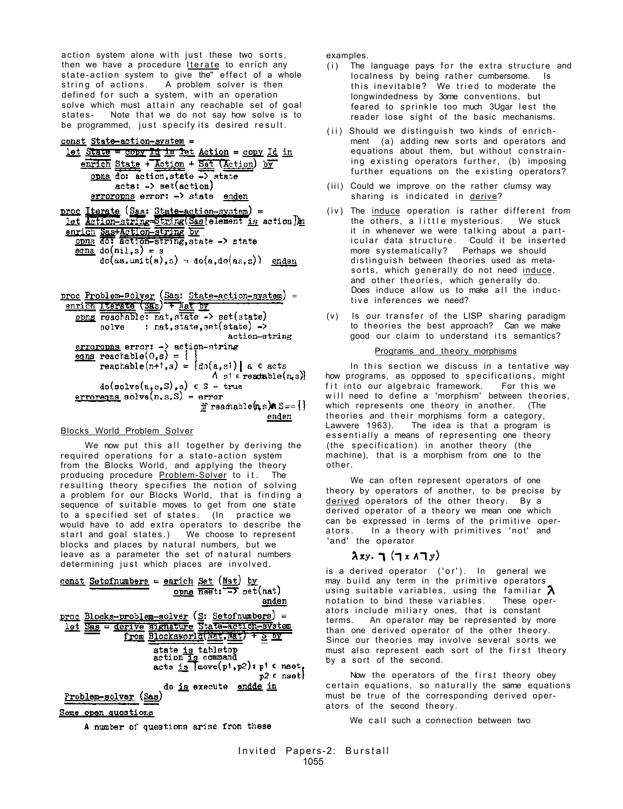action system alone with just these two sorts, then we have a procedure Iterate to enrich any state-action system to give the" effect of a whole string of actions. A problem solver is then defined for such a system, with an operation solve which must attain any reachable set of goal states- Note that we do not say how solve is to be programmed, just specify its desired result.

#### const State-action-system =

let State = copy Id in let Action = copy Id in enrich State + Ketion + Set (Action) by opns do: action, state -> state  $acts: -> set(action)$ erroropns error: -> state enden

proc Iterate (Sas: State-action-system) =<br>
let detion-string String(Sas[element is action])n enrich SastAction-string by one do action-string, state -> state  $\frac{eqns}{eq}$  do(nil,s) = s  $do(as.unit(a), s) = do(a, do(as, s))$  enden

proc Problem-Bolver (Sas: State-action-system) =<br>enrich Iterate (Sas) + Mat by<br>opng reachable: nat, state -> set(state) : nat, state, set(state) -> solve action-string  $\frac{error \text{cons}}{error}$ : ->  $\frac{action \text{-}string}{error}$ eqns reachable( $0, s$ ) = { reachable $(n+1, s) = \{d\alpha(a, s)\}\$ a  $\epsilon$  acts  $\Lambda$  s<sup>1</sup>  $\epsilon$  readmole(n, s)}  $do(solve(n,s,s), s) \in S = true$  $\frac{erroreqns}{erroreqns}$  solve $(n, s, s)$  = error if reachable  $(n, s)$   $n s == 1$ enden

## Blocks World Problem Solver

We now put this all together by deriving the required operations for a state-action system from the Blocks World, and applying the theory producing procedure **Problem-Solver** to it. The resulting theory specifies the notion of solving a problem for our Blocks World, that is finding a sequence of suitable moves to get from one state to a specified set of states. (In practice we would have to add extra operators to describe the start and goal states.) We choose to represent blocks and places by natural numbers, but we leave as a parameter the set of natural numbers determining just which places are involved.

const Setofnumbers = enrich Set (Nat) by opna  $\overline{nset}$ :  $\overline{-y}$   $\overline{\text{net}}$   $(nat)$ enden proc Blocks-problem-solver (S: Setofnumbers) = let Sas = derive signature State=action=system<br>from Blocksworld(Nat,Nat) + S DY state is tabletop<br>action is command  $\texttt{acts is}$   $\texttt{move}(p1, p2): p1 \in \texttt{nset}_1$  $p2 \epsilon$  nset do is execute endde in Problem-solver (Sas)

<u>Some open questions</u>

A number of questions arise from these

examples.

- (i) The language pays for the extra structure and localness by being rather cumbersome. Is this inevitable? We tried to moderate the longwindedness by 3ome conventions, but feared to sprinkle too much 3Ugar lest the reader lose sight of the basic mechanisms.
- (ii) Should we distinguish two kinds of enrichment (a) adding new sorts and operators and equations about them, but without constraining existing operators further, (b) imposing further equations on the existing operators?
- (iii) Could we improve on the rather clumsy way sharing is indicated in derive?
- (iv) The induce operation is rather different from the others, a little mysterious. We stuck it in whenever we were talking about a particular data structure. Could it be inserted<br>more systematically? Perhaps we should Perhaps we should distinguish between theories used as metasorts, which generally do not need induce, and other theories, which generally do. Does induce allow us to make all the inductive inferences we need?
- $(v)$  Is our transfer of the LISP sharing paradigm to theories the best approach? Can we make good our claim to understand its semantics?

## Programs and theory morphisms

In this section we discuss in a tentative way how programs, as opposed to specifications, might fit into our algebraic framework. For this we will need to define a 'morphism' between theories, which represents one theory in another. (The theories and their morphisms form a category, Lawvere 1963). The idea is that a program is essentially a means of representing one theory (the specification) in another theory (the machine), that is a morphism from one to the other.

We can often represent operators of one theory by operators of another, to be precise by derived operators of the other theory. By a derived operator of a theory we mean one which can be expressed in terms of the primitive operators. In a theory with primitives 'not' and 'and' the operator

# $\lambda xy.$   $\eta$   $(\eta x \land \eta y)$

is a derived operator ('or'). In general we may build any term in the primitive operators using suitable variables, using the familiar  $\lambda$ notation to bind these variables. These operators include miliary ones, that is constant terms. An operator may be represented by more than one derived operator of the other theory. Since our theories may involve several sorts we must also represent each sort of the first theory by a sort of the second.

Now the operators of the first theory obey certain equations, so naturally the same equations must be true of the corresponding derived operators of the second theory.

We call such a connection between two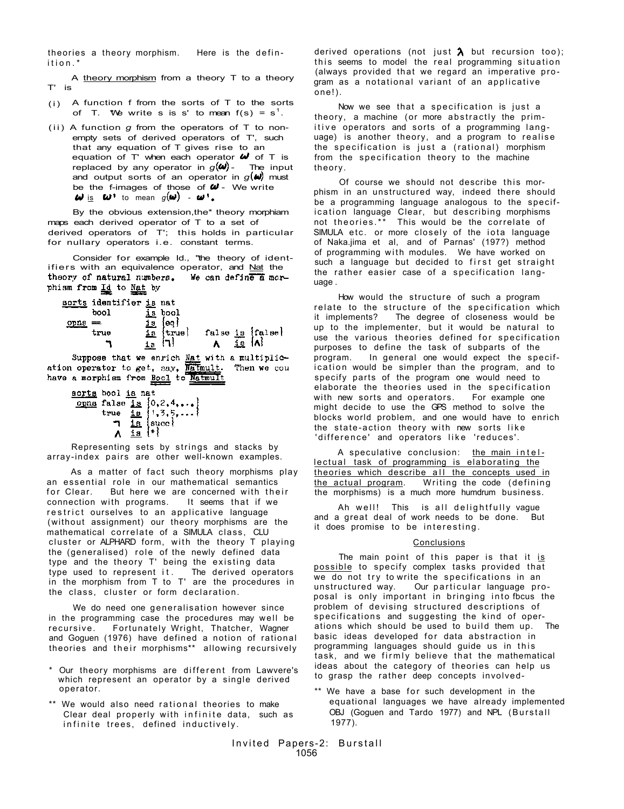theories a theory morphism. Here is the defin ition. \*

A theory morphism from a theory T to a theory T' is

- (i) A function  $f$  from the sorts of  $T$  to the sorts of T. We write s is s' to mean  $f(s) = s^1$ .
- (ii) A function *g* from the operators of T to nonempty sets of derived operators of T', such that any equation of T gives rise to an equation of T' when each operator  $\mathbf{\omega}$  of T is replaced by any operator in  $g(\omega)$ - The input and output sorts of an operator in  $g(w)$  must be the f-images of those of  $\mathbf{w}$  - We write  $\omega$  is  $\omega$ <sup>+</sup> to mean  $g(\omega)$  -  $\omega$ <sup>+</sup>.

By the obvious extension,the\* theory morphiam maps each derived operator of T to a set of derived operators of T'; this holds in particular for nullary operators i.e. constant terms.

Consider for example Id., "the theory of identifiers with an equivalence operator, and  $Nat$  the theory of natural numbers. We can define a mor-</u> phism from Id to Nat by

| sorts identifier is nat |                        |                                                                                                    |
|-------------------------|------------------------|----------------------------------------------------------------------------------------------------|
| bool                    | is pool                |                                                                                                    |
| орда                    | 15<br>ieo f            |                                                                                                    |
| true                    | $\mathbf{1}$<br>itrue! | false is $\begin{matrix} \text{false} \\ \text{A} \end{matrix}$ is $\begin{matrix} A \end{matrix}$ |
|                         | ia.                    |                                                                                                    |
|                         |                        | N.1 1                                                                                              |

Suppose that we enrich Nat with a multiplication operator to get, say, Natmult. Then we cou have a morphism from Bool to Matmul

| scrts bool is nat |                                                                                                                                                                              |
|-------------------|------------------------------------------------------------------------------------------------------------------------------------------------------------------------------|
|                   |                                                                                                                                                                              |
|                   | $\underbrace{\overbrace{\text{opna}}^{\text{opna}}}_{\text{true}} \overline{\text{false}} \overline{\text{is}} \begin{cases} 0, 2, 4, \ldots \\ 1, 3, 5, \ldots \end{cases}$ |
|                   | $\frac{18}{18}$ succ $\left  \frac{18}{18} \right $                                                                                                                          |
|                   |                                                                                                                                                                              |

Representing sets by strings and stacks by array-index pairs are other well-known examples.

As a matter of fact such theory morphisms play an essential role in our mathematical semantics<br>for Clear But here we are concerned with the But here we are concerned with their connection with programs. It seems that if we restrict ourselves to an applicative language (without assignment) our theory morphisms are the mathematical correlate of a SIMULA class, CLU cluster or ALPHARD form, with the theory T playing the (generalised) role of the newly defined data type and the theory T' being the existing data type used to represent it. The derived operators in the morphism from T to T' are the procedures in the class, cluster or form declaration.

We do need one generalisation however since in the programming case the procedures may well be recursive. Fortunately Wright, Thatcher, Wagner and Goguen (1976) have defined a notion of rational theories and their morphisms\*\* allowing recursively

- \* Our theory morphisms are different from Lawvere's which represent an operator by a single derived operator.
- \*\* We would also need rational theories to make Clear deal properly with infinite data, such as infinite trees, defined inductively.

derived operations (not just  $\lambda$  but recursion too); this seems to model the real programming situation (always provided that we regard an imperative program as a notational variant of an applicative one!).

Now we see that a specification is just a theory, a machine (or more abstractly the primitive operators and sorts of a programming language) is another theory, and a program to realise the specification is just a (rational) morphism from the specification theory to the machine theory.

Of course we should not describe this morphism in an unstructured way, indeed there should be a programming language analogous to the specification language Clear, but describing morphisms not theories.\*\* This would be the correlate of SIMULA etc. or more closely of the iota language of Naka.jima et al, and of Parnas' (197?) method of programming with modules. We have worked on such a language but decided to first get straight the rather easier case of a specification language .

How would the structure of such a program relate to the structure of the specification which it implements? The degree of closeness would be up to the implementer, but it would be natural to use the various theories defined for specification purposes to define the task of subparts of the<br>program. In general one would expect the spe In general one would expect the specification would be simpler than the program, and to specify parts of the program one would need to elaborate the theories used in the specification with new sorts and operators. For example one might decide to use the GPS method to solve the blocks world problem, and one would have to enrich the state-action theory with new sorts like 'difference' and operators like 'reduces'.

A speculative conclusion: the main intel $lectual$  task of programming is elaborating the theories which describe all the concepts used in the actual program. Writing the code (defining Writing the code (defining the morphisms) is a much more humdrum business.

Ah well! This is all delightfully vague and a great deal of work needs to be done. But it does promise to be interesting.

# Conclusions

The main point of this paper is that it is possible to specify complex tasks provided that we do not try to write the specifications in an unstructured way. Our particular language proposal is only important in bringing into fbcus the problem of devising structured descriptions of specifications and suggesting the kind of operations which should be used to build them up. The basic ideas developed for data abstraction in programming languages should guide us in this task, and we firmly believe that the mathematical ideas about the category of theories can help us to grasp the rather deep concepts involved-

\*\* We have a base for such development in the equational languages we have already implemented OBJ (Goguen and Tardo 1977) and NPL (Burstall 1977).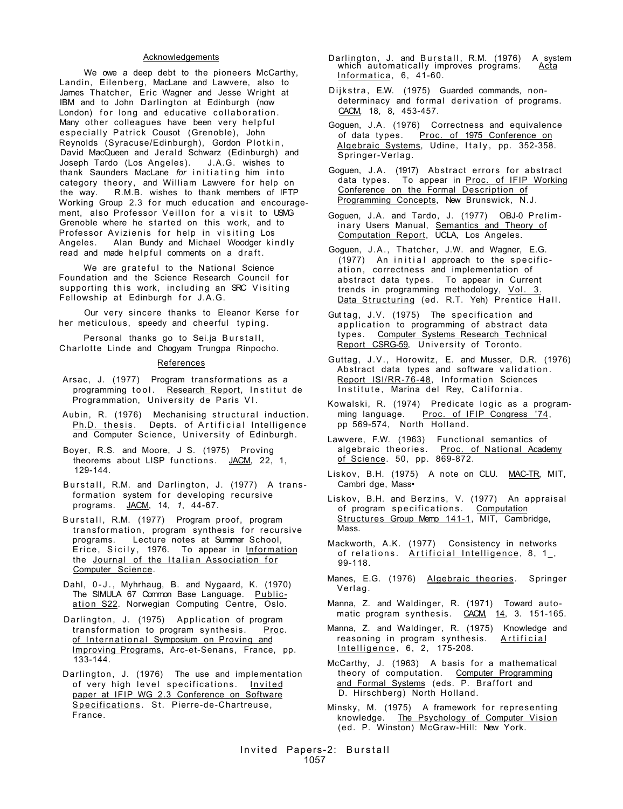## Acknowledgements

We owe a deep debt to the pioneers McCarthy, Landin, Eilenberg, MacLane and Lawvere, also to James Thatcher, Eric Wagner and Jesse Wright at IBM and to John Darlington at Edinburgh (now London) for long and educative collaboration. Many other colleagues have been very helpful especially Patrick Cousot (Grenoble), John Reynolds (Syracuse/Edinburgh), Gordon Plotkin , David MacQueen and Jerald Schwarz (Edinburgh) and Joseph Tardo (Los Angeles). J.A.G. wishes to thank Saunders MacLane for initiating him into category theory, and William Lawvere for help on the way. R.M.B. wishes to thank members of IFTP Working Group 2.3 for much education and encouragement, also Professor Veillon for a visit to USMG Grenoble where he started on this work, and to Professor Avizienis for help in visiting Los Angeles. Alan Bundy and Michael Woodger kindly read and made helpful comments on a draft.

We are grateful to the National Science Foundation and the Science Research Council for supporting this work, including an SRC Visiting Fellowship at Edinburgh for J.A.G.

Our very sincere thanks to Eleanor Kerse for her meticulous, speedy and cheerful typing.

Personal thanks go to Sei.ja Burstall, Charlotte Linde and Chogyam Trungpa Rinpocho.

#### References

- Arsac, J. (1977) Program transformations as a programming tool. Research Report, Institut de Programmation, University de Paris VI .
- Aubin, R. (1976) Mechanising structural induction. Ph.D. thesis. Depts. of Artificial Intelligence and Computer Science, University of Edinburgh.
- Boyer, R.S. and Moore, J S. (1975) Proving theorems about LISP functions. JACM, 22, 1, 129-144.
- Burstall, R.M. and Darlington, J. (1977) A transformation system for developing recursive programs. JACM, 14*, 1*, 44-67.
- Burstall, R.M. (1977) Program proof, program transformation, program synthesis for recursive programs. Lecture notes at Summer School, Erice, Sicily, 1976. To appear in <u>Information</u> the <u>Journal of the Italian Association for</u> Computer Science.
- Dahl, 0-J. , Myhrhaug, B. and Nygaard, K. (1970) The SIMULA 67 Common Base Language. Publication S22. Norwegian Computing Centre, Oslo.
- Darlington, J. (1975) Application of program transformation to program synthesis. Proc. of International Symposium on Proving and Improving Programs, Arc-et-Senans, France, pp. 133-144.
- Darlington, J. (1976) The use and implementation of very high level specifications. Invited paper at IFIP WG 2.3 Conference on Software Specifications. St. Pierre-de-Chartreuse, France.

Darlington, J. and Burstall, R.M. (1976) A system<br>which automatically improves programs. Acta which automatically improves programs. Informatica, 6, 41-60.

Dijkstra, E.W. (1975) Guarded commands, nondeterminacy and formal derivation of programs. CACM, 18, 8, 453-457.

Goguen, J.A. (1976) Correctness and equivalence of data types. Proc. of 1975 Conference on <u>Algebraic Systems</u>, Udine, Italy, pp. 352-358. Springer-Verlag.

Goguen, J.A. (1917) Abstract errors for abstract data types. To appear in Proc. of IFIP Working Conference on the Formal Description of Programming Concepts, New Brunswick, N.J.

- Goguen, J.A. and Tardo, J. (1977) OBJ-0 Preliminary Users Manual, Semantics and Theory of Computation Report, UCLA, Los Angeles.
- Goguen, J.A., Thatcher, J.W. and Wagner, E.G. (1977) An initial approach to the specification, correctness and implementation of abstract data types. To appear in Current trends in programming methodology, <u>Vol. 3.</u> Data Structuring (ed. R.T. Yeh) Prentice Hall.
- Gut tag, J.V. (1975) The specification and application to programming of abstract data types. Computer Systems Research Technical Report CSRG-59, University of Toronto.
- Guttag, J.V., Horowitz, E. and Musser, D.R. (1976) Abstract data types and software validation . Report ISl/RR-76-48, Information Sciences Institute, Marina del Rey, California.
- Kowalski, R. (1974) Predicate logic as a programming language. Proc. of IFIP Congress '74, pp 569-574, North Holland.
- Lawvere, F.W. (1963) Functional semantics of algebraic theories. P<u>roc. of National Academy</u> <u>of Science</u>. 50, pp. 869-872.
- Liskov, B.H. (1975) A note on CLU. MAC-TR, MIT, Cambri dge, Mass•
- Liskov, B.H. and Berzins, V. (1977) An appraisal of program specifications. Computation Structures Group Memo 141-1, MIT, Cambridge, Mass.
- Mackworth, A.K. (1977) Consistency in networks of relations. Artificial Intelligence, 8, 1, 99-118.
- Manes, E.G. (1976) Algebraic theories. Springer Verlag.
- Manna, Z. and Waldinger, R. (1971) Toward automatic program synthesis. CACM, 14, 3. 151-165.
- Manna, Z. and Waldinger, R. (1975) Knowledge and reasoning in program synthesis. Artificial Intelligence, 6, 2, 175-208.

McCarthy, J. (1963) A basis for a mathematical theory of computation. Computer Programming and Formal Systems (eds. P. Braffort and D. Hirschberg) North Holland.

Minsky, M. (1975) A framework for representing knowledge. The Psychology of Computer Vision (ed. P. Winston) McGraw-Hill: New York.